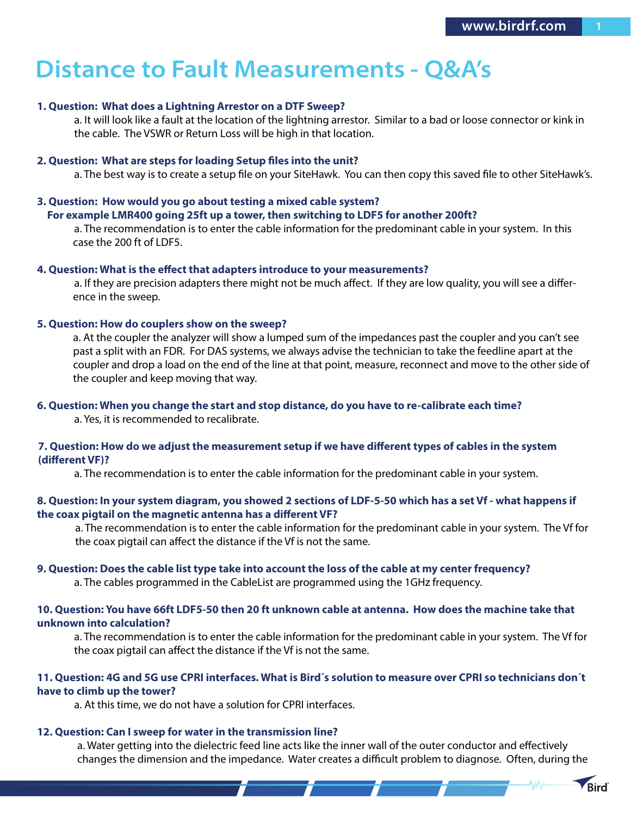**Rird** 

# **Distance to Fault Measurements - Q&A's**

### **1. Question: What does a Lightning Arrestor on a DTF Sweep?**

 a. It will look like a fault at the location of the lightning arrestor. Similar to a bad or loose connector or kink in the cable. The VSWR or Return Loss will be high in that location.

#### **2. Question: What are steps for loading Setup files into the unit?**

a. The best way is to create a setup file on your SiteHawk. You can then copy this saved file to other SiteHawk's.

# **3. Question: How would you go about testing a mixed cable system?**

# **For example LMR400 going 25ft up a tower, then switching to LDF5 for another 200ft?**

 a. The recommendation is to enter the cable information for the predominant cable in your system. In this case the 200 ft of LDF5.

#### **4. Question: What is the effect that adapters introduce to your measurements?**

 a. If they are precision adapters there might not be much affect. If they are low quality, you will see a difference in the sweep.

### **5. Question: How do couplers show on the sweep?**

a. At the coupler the analyzer will show a lumped sum of the impedances past the coupler and you can't see past a split with an FDR. For DAS systems, we always advise the technician to take the feedline apart at the coupler and drop a load on the end of the line at that point, measure, reconnect and move to the other side of the coupler and keep moving that way.

#### **6. Question: When you change the start and stop distance, do you have to re-calibrate each time?**

a. Yes, it is recommended to recalibrate.

# **7. Question: How do we adjust the measurement setup if we have different types of cables in the system (different VF)?**

a. The recommendation is to enter the cable information for the predominant cable in your system.

## **8. Question: In your system diagram, you showed 2 sections of LDF-5-50 which has a set Vf - what happens if the coax pigtail on the magnetic antenna has a different VF?**

a. The recommendation is to enter the cable information for the predominant cable in your system. The Vf for the coax pigtail can affect the distance if the Vf is not the same.

#### **9. Question: Does the cable list type take into account the loss of the cable at my center frequency?**

a. The cables programmed in the CableList are programmed using the 1GHz frequency.

# **10. Question: You have 66ft LDF5-50 then 20 ft unknown cable at antenna. How does the machine take that unknown into calculation?**

a. The recommendation is to enter the cable information for the predominant cable in your system. The Vf for the coax pigtail can affect the distance if the Vf is not the same.

# **11. Question: 4G and 5G use CPRI interfaces. What is Bird´s solution to measure over CPRI so technicians don´t have to climb up the tower?**

a. At this time, we do not have a solution for CPRI interfaces.

#### **12. Question: Can I sweep for water in the transmission line?**

a. Water getting into the dielectric feed line acts like the inner wall of the outer conductor and effectively changes the dimension and the impedance. Water creates a difficult problem to diagnose. Often, during the